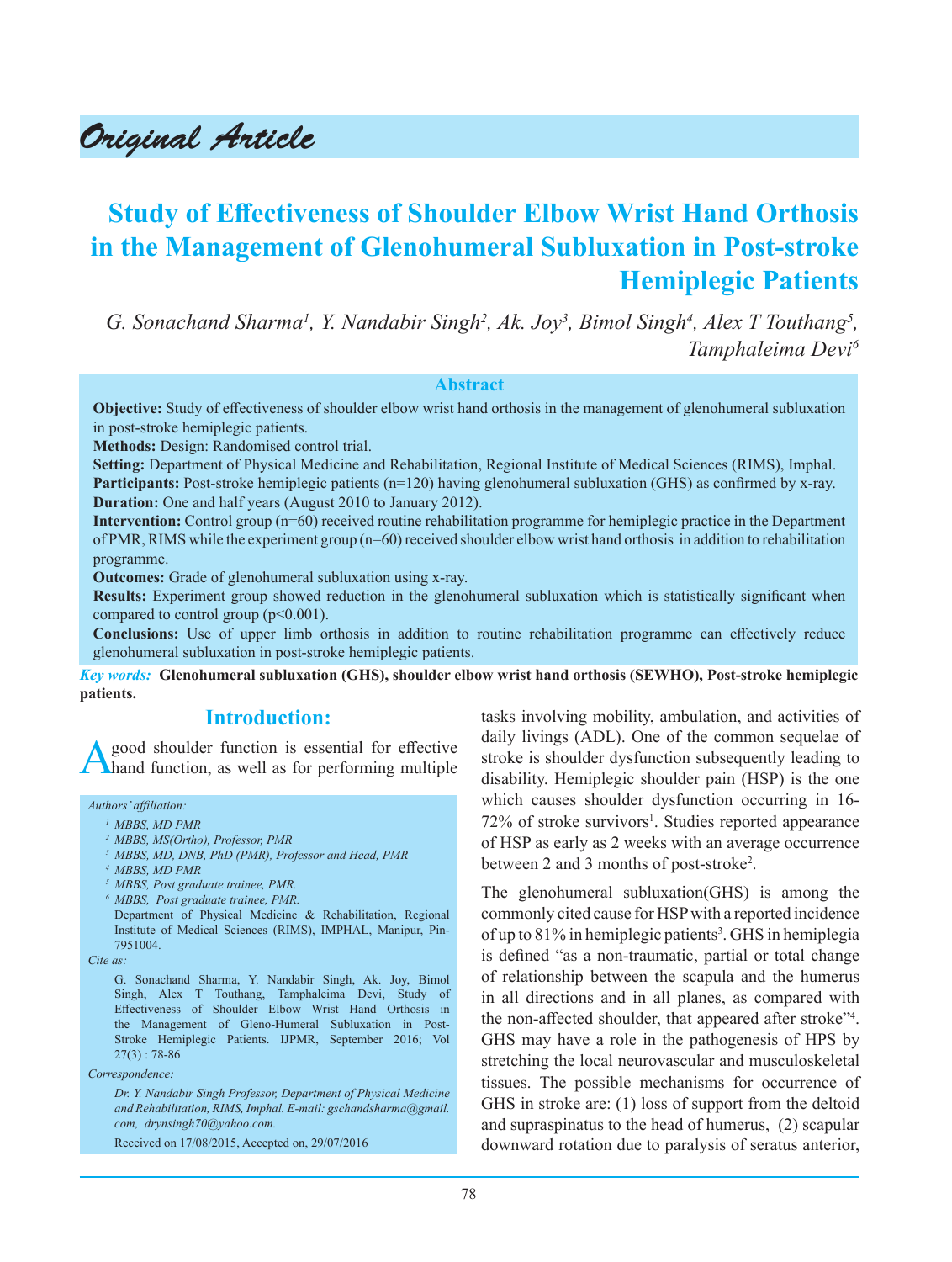# Original Article

## **Study of Effectiveness of Shoulder Elbow Wrist Hand Orthosis in the Management of Glenohumeral Subluxation in Post-stroke Hemiplegic Patients**

*G. Sonachand Sharma<sup>1</sup>, Y. Nandabir Singh<sup>2</sup>, Ak. Joy<sup>3</sup>, Bimol Singh<sup>4</sup>, Alex T Touthang<sup>5</sup>, Tamphaleima Devi6*

#### **Abstract**

**Objective:** Study of effectiveness of shoulder elbow wrist hand orthosis in the management of glenohumeral subluxation in post-stroke hemiplegic patients.

**Methods:** Design: Randomised control trial.

**Setting:** Department of Physical Medicine and Rehabilitation, Regional Institute of Medical Sciences (RIMS), Imphal. **Participants:** Post-stroke hemiplegic patients (n=120) having glenohumeral subluxation (GHS) as confirmed by x-ray. **Duration:** One and half years (August 2010 to January 2012).

**Intervention:** Control group (n=60) received routine rehabilitation programme for hemiplegic practice in the Department of PMR, RIMS while the experiment group (n=60) received shoulder elbow wrist hand orthosis in addition to rehabilitation programme.

**Outcomes:** Grade of glenohumeral subluxation using x-ray.

**Results:** Experiment group showed reduction in the glenohumeral subluxation which is statistically significant when compared to control group ( $p<0.001$ ).

**Conclusions:** Use of upper limb orthosis in addition to routine rehabilitation programme can effectively reduce glenohumeral subluxation in post-stroke hemiplegic patients.

*Key words:* **Glenohumeral subluxation (GHS), shoulder elbow wrist hand orthosis (SEWHO), Post-stroke hemiplegic patients.**

## **Introduction:**

good shoulder function is essential for effective hand function, as well as for performing multiple

*Authors' affiliation:*

- *1 MBBS, MD PMR*
- *<sup>2</sup>MBBS, MS(Ortho), Professor, PMR*
- *<sup>3</sup>MBBS, MD, DNB, PhD (PMR), Professor and Head, PMR*
- *4 MBBS, MD PMR*
- *<sup>5</sup>MBBS, Post graduate trainee, PMR.*
- *6 MBBS, Post graduate trainee, PMR.*

Department of Physical Medicine & Rehabilitation, Regional Institute of Medical Sciences (RIMS), IMPHAL, Manipur, Pin-7951004.

*Cite as:*

G. Sonachand Sharma, Y. Nandabir Singh, Ak. Joy, Bimol Singh, Alex T Touthang, Tamphaleima Devi, Study of Effectiveness of Shoulder Elbow Wrist Hand Orthosis in the Management of Gleno-Humeral Subluxation in Post-Stroke Hemiplegic Patients. IJPMR, September 2016; Vol  $27(3) : 78-86$ 

*Correspondence:*

*Dr. Y. Nandabir Singh Professor, Department of Physical Medicine and Rehabilitation, RIMS, Imphal. E-mail: gschandsharma@gmail. com, drynsingh70@yahoo.com.*

Received on 17/08/2015, Accepted on, 29/07/2016

tasks involving mobility, ambulation, and activities of daily livings (ADL). One of the common sequelae of stroke is shoulder dysfunction subsequently leading to disability. Hemiplegic shoulder pain (HSP) is the one which causes shoulder dysfunction occurring in 16- 72% of stroke survivors<sup>1</sup>. Studies reported appearance of HSP as early as 2 weeks with an average occurrence between 2 and 3 months of post-stroke<sup>2</sup>.

The glenohumeral subluxation(GHS) is among the commonly cited cause for HSP with a reported incidence of up to 81% in hemiplegic patients<sup>3</sup>. GHS in hemiplegia is defined "as a non-traumatic, partial or total change of relationship between the scapula and the humerus in all directions and in all planes, as compared with the non-affected shoulder, that appeared after stroke"<sup>4</sup>. GHS may have a role in the pathogenesis of HPS by stretching the local neurovascular and musculoskeletal tissues. The possible mechanisms for occurrence of GHS in stroke are: (1) loss of support from the deltoid and supraspinatus to the head of humerus, (2) scapular downward rotation due to paralysis of seratus anterior,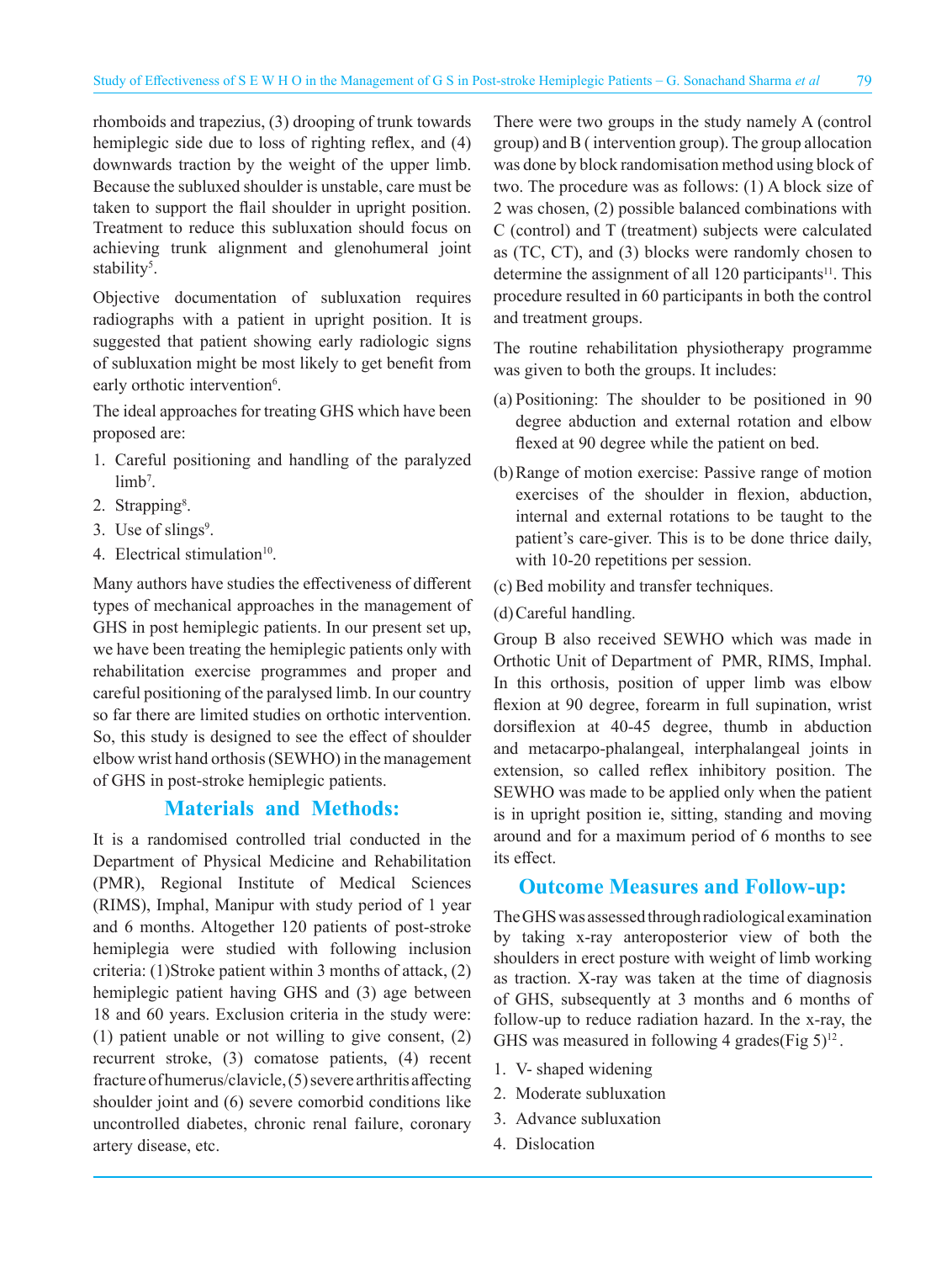rhomboids and trapezius, (3) drooping of trunk towards hemiplegic side due to loss of righting reflex, and (4) downwards traction by the weight of the upper limb. Because the subluxed shoulder is unstable, care must be taken to support the flail shoulder in upright position. Treatment to reduce this subluxation should focus on achieving trunk alignment and glenohumeral joint stability<sup>5</sup>.

Objective documentation of subluxation requires radiographs with a patient in upright position. It is suggested that patient showing early radiologic signs of subluxation might be most likely to get benefit from early orthotic intervention<sup>6</sup>.

The ideal approaches for treating GHS which have been proposed are:

- 1. Careful positioning and handling of the paralyzed  $limb<sup>7</sup>$ .
- 2. Strapping<sup>8</sup>.
- 3. Use of slings<sup>9</sup>.
- 4. Electrical stimulation $10$ .

Many authors have studies the effectiveness of different types of mechanical approaches in the management of GHS in post hemiplegic patients. In our present set up, we have been treating the hemiplegic patients only with rehabilitation exercise programmes and proper and careful positioning of the paralysed limb. In our country so far there are limited studies on orthotic intervention. So, this study is designed to see the effect of shoulder elbow wrist hand orthosis (SEWHO) in the management of GHS in post-stroke hemiplegic patients.

## **Materials and Methods:**

It is a randomised controlled trial conducted in the Department of Physical Medicine and Rehabilitation (PMR), Regional Institute of Medical Sciences (RIMS), Imphal, Manipur with study period of 1 year and 6 months. Altogether 120 patients of post-stroke hemiplegia were studied with following inclusion criteria: (1)Stroke patient within 3 months of attack, (2) hemiplegic patient having GHS and (3) age between 18 and 60 years. Exclusion criteria in the study were: (1) patient unable or not willing to give consent, (2) recurrent stroke, (3) comatose patients, (4) recent fracture of humerus/clavicle, (5) severe arthritis affecting shoulder joint and (6) severe comorbid conditions like uncontrolled diabetes, chronic renal failure, coronary artery disease, etc.

There were two groups in the study namely A (control group) and B ( intervention group). The group allocation was done by block randomisation method using block of two. The procedure was as follows: (1) A block size of 2 was chosen, (2) possible balanced combinations with C (control) and T (treatment) subjects were calculated as (TC, CT), and (3) blocks were randomly chosen to determine the assignment of all  $120$  participants<sup>11</sup>. This procedure resulted in 60 participants in both the control and treatment groups.

The routine rehabilitation physiotherapy programme was given to both the groups. It includes:

- (a) Positioning: The shoulder to be positioned in 90 degree abduction and external rotation and elbow flexed at 90 degree while the patient on bed.
- (b)Range of motion exercise: Passive range of motion exercises of the shoulder in flexion, abduction, internal and external rotations to be taught to the patient's care-giver. This is to be done thrice daily, with 10-20 repetitions per session.
- (c) Bed mobility and transfer techniques.
- (d)Careful handling.

Group B also received SEWHO which was made in Orthotic Unit of Department of PMR, RIMS, Imphal. In this orthosis, position of upper limb was elbow flexion at 90 degree, forearm in full supination, wrist dorsiflexion at 40-45 degree, thumb in abduction and metacarpo-phalangeal, interphalangeal joints in extension, so called reflex inhibitory position. The SEWHO was made to be applied only when the patient is in upright position ie, sitting, standing and moving around and for a maximum period of 6 months to see its effect.

## **Outcome Measures and Follow-up:**

The GHS was assessed through radiological examination by taking x-ray anteroposterior view of both the shoulders in erect posture with weight of limb working as traction. X-ray was taken at the time of diagnosis of GHS, subsequently at 3 months and 6 months of follow-up to reduce radiation hazard. In the x-ray, the GHS was measured in following 4 grades(Fig  $5)^{12}$ .

- 1. V- shaped widening
- 2. Moderate subluxation
- 3. Advance subluxation
- 4. Dislocation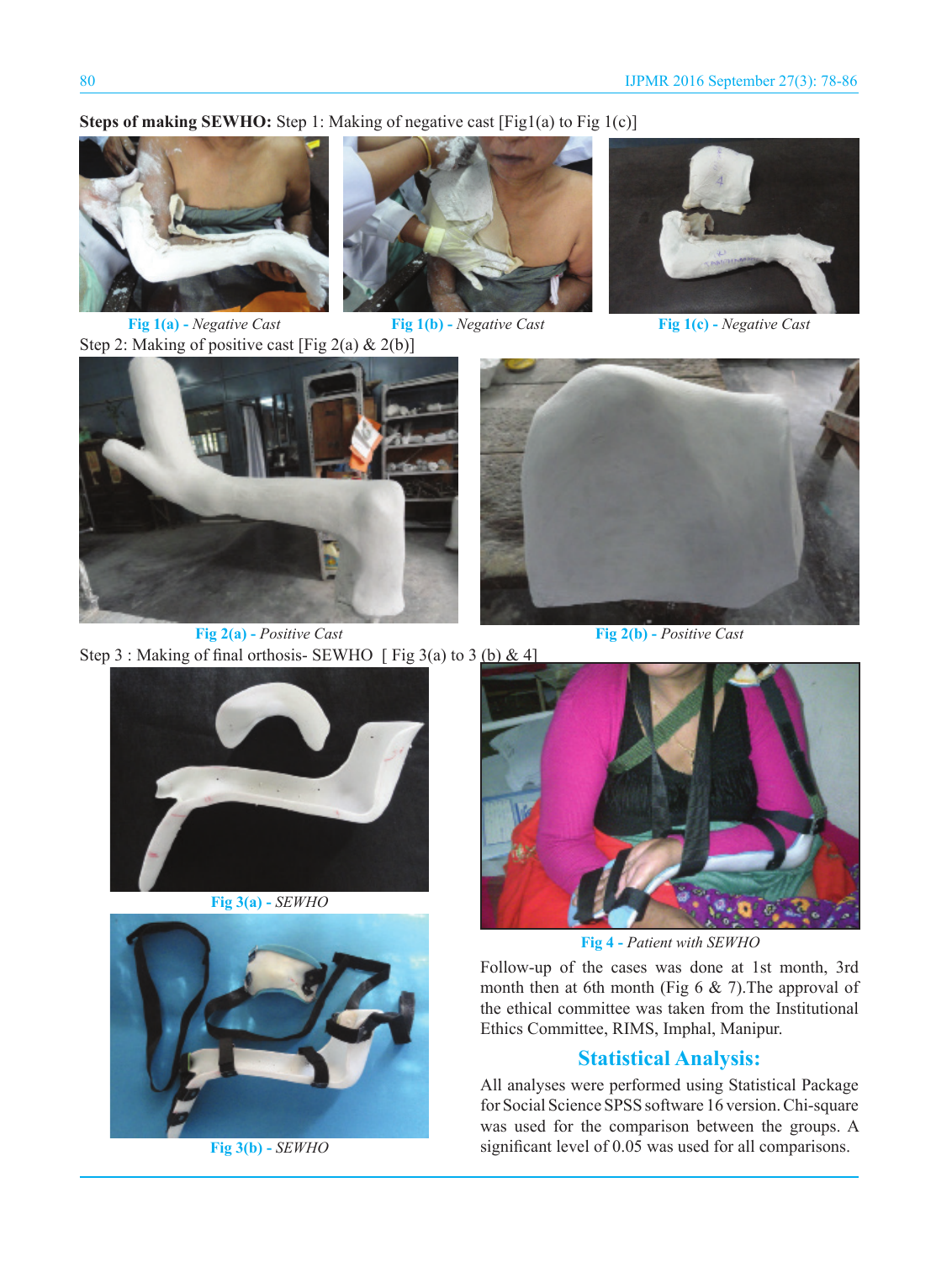## **Steps of making SEWHO:** Step 1: Making of negative cast [Fig1(a) to Fig 1(c)]







**Fig 1(c) -** *Negative Cast* 

Step 2: Making of positive cast [Fig 2(a) & 2(b)]



**Fig 2(a) -** *Positive Cast*



**Fig 2(b) -** *Positive Cast*



**Fig 3(a) -** *SEWHO*



**Fig 3(b) -** *SEWHO*



**Fig 4 -** *Patient with SEWHO*

Follow-up of the cases was done at 1st month, 3rd month then at 6th month (Fig 6 & 7).The approval of the ethical committee was taken from the Institutional Ethics Committee, RIMS, Imphal, Manipur.

## **Statistical Analysis:**

All analyses were performed using Statistical Package for Social Science SPSS software 16 version. Chi-square was used for the comparison between the groups. A significant level of 0.05 was used for all comparisons.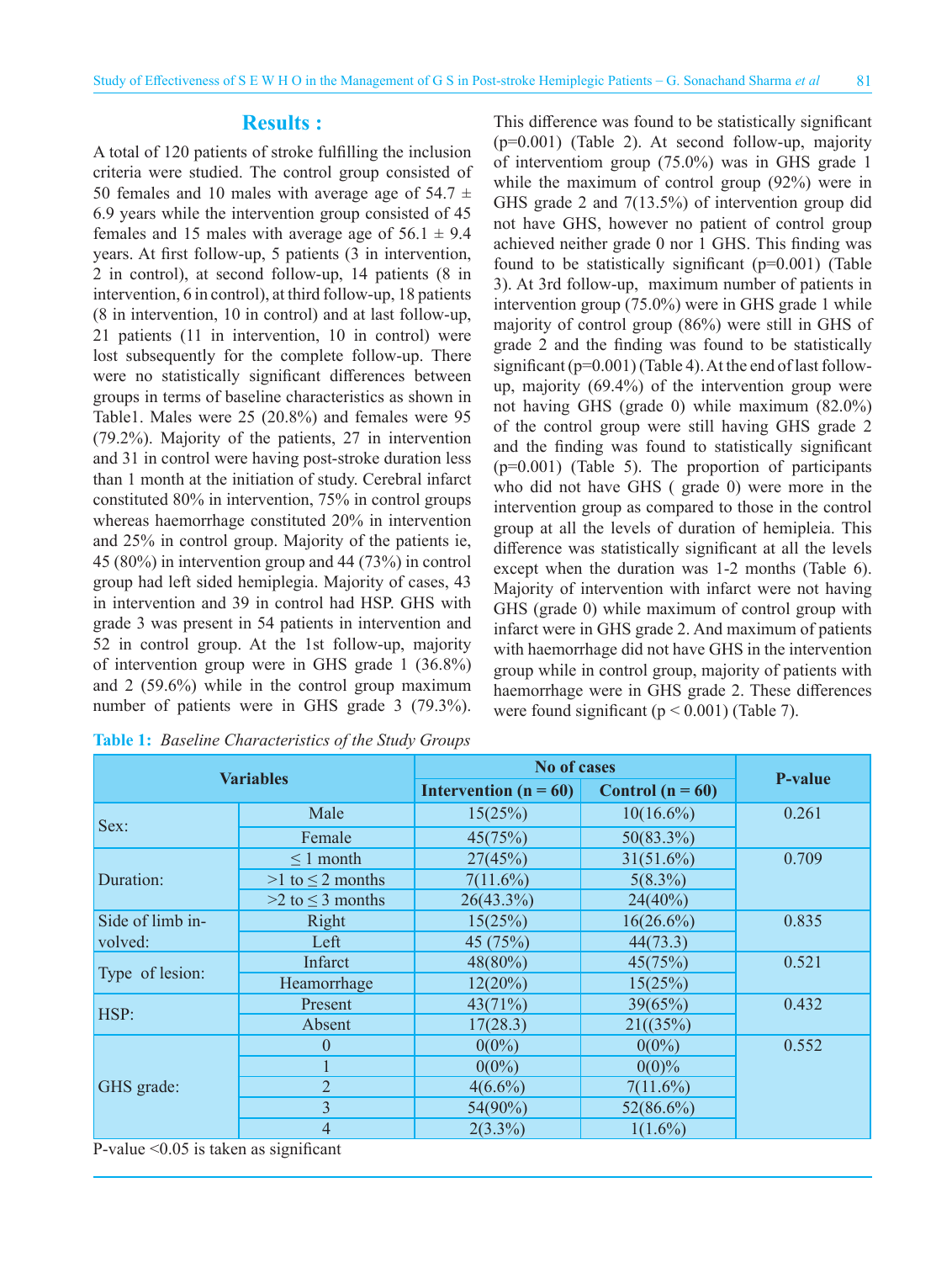#### **Results :**

A total of 120 patients of stroke fulfilling the inclusion criteria were studied. The control group consisted of 50 females and 10 males with average age of 54.7  $\pm$ 6.9 years while the intervention group consisted of 45 females and 15 males with average age of  $56.1 \pm 9.4$ years. At first follow-up, 5 patients (3 in intervention, 2 in control), at second follow-up, 14 patients (8 in intervention, 6 in control), at third follow-up, 18 patients (8 in intervention, 10 in control) and at last follow-up, 21 patients (11 in intervention, 10 in control) were lost subsequently for the complete follow-up. There were no statistically significant differences between groups in terms of baseline characteristics as shown in Table1. Males were 25 (20.8%) and females were 95 (79.2%). Majority of the patients, 27 in intervention and 31 in control were having post-stroke duration less than 1 month at the initiation of study. Cerebral infarct constituted 80% in intervention, 75% in control groups whereas haemorrhage constituted 20% in intervention and 25% in control group. Majority of the patients ie, 45 (80%) in intervention group and 44 (73%) in control group had left sided hemiplegia. Majority of cases, 43 in intervention and 39 in control had HSP. GHS with grade 3 was present in 54 patients in intervention and 52 in control group. At the 1st follow-up, majority of intervention group were in GHS grade 1 (36.8%) and 2 (59.6%) while in the control group maximum number of patients were in GHS grade 3 (79.3%).

|  | Table 1: Baseline Characteristics of the Study Groups |  |  |
|--|-------------------------------------------------------|--|--|
|  |                                                       |  |  |

This difference was found to be statistically significant  $(p=0.001)$  (Table 2). At second follow-up, majority of interventiom group (75.0%) was in GHS grade 1 while the maximum of control group (92%) were in GHS grade 2 and 7(13.5%) of intervention group did not have GHS, however no patient of control group achieved neither grade 0 nor 1 GHS. This finding was found to be statistically significant  $(p=0.001)$  (Table 3). At 3rd follow-up, maximum number of patients in intervention group (75.0%) were in GHS grade 1 while majority of control group (86%) were still in GHS of grade 2 and the finding was found to be statistically significant  $(p=0.001)$  (Table 4). At the end of last followup, majority (69.4%) of the intervention group were not having GHS (grade 0) while maximum (82.0%) of the control group were still having GHS grade 2 and the finding was found to statistically significant (p=0.001) (Table 5). The proportion of participants who did not have GHS ( grade 0) were more in the intervention group as compared to those in the control group at all the levels of duration of hemipleia. This difference was statistically significant at all the levels except when the duration was 1-2 months (Table 6). Majority of intervention with infarct were not having GHS (grade 0) while maximum of control group with infarct were in GHS grade 2. And maximum of patients with haemorrhage did not have GHS in the intervention group while in control group, majority of patients with haemorrhage were in GHS grade 2. These differences were found significant ( $p < 0.001$ ) (Table 7).

| <b>Variables</b> |                         | <b>No of cases</b>      |                    |                |
|------------------|-------------------------|-------------------------|--------------------|----------------|
|                  |                         | Intervention $(n = 60)$ | Control $(n = 60)$ | <b>P-value</b> |
|                  | Male                    | 15(25%)                 | $10(16.6\%)$       | 0.261          |
| Sex:             | Female                  | 45(75%)                 | $50(83.3\%)$       |                |
|                  | $\leq 1$ month          | 27(45%)                 | $31(51.6\%)$       | 0.709          |
| Duration:        | $>1$ to $\leq$ 2 months | $7(11.6\%)$             | $5(8.3\%)$         |                |
|                  | $>2$ to $\leq$ 3 months | $26(43.3\%)$            | 24(40%)            |                |
| Side of limb in- | Right                   | 15(25%)                 | $16(26.6\%)$       | 0.835          |
| volved:          | Left                    | 45 (75%)                | 44(73.3)           |                |
|                  | Infarct                 | $48(80\%)$              | 45(75%)            | 0.521          |
| Type of lesion:  | Heamorrhage             | $12(20\%)$              | 15(25%)            |                |
| HSP:             | Present                 | 43(71%)                 | 39(65%)            | 0.432          |
|                  | Absent                  | 17(28.3)                | 21((35%)           |                |
|                  | $\boldsymbol{0}$        | $0(0\%)$                | $0(0\%)$           | 0.552          |
| GHS grade:       |                         | $0(0\%)$                | $0(0)\%$           |                |
|                  | $\overline{2}$          | $4(6.6\%)$              | $7(11.6\%)$        |                |
|                  | $\overline{3}$          | $54(90\%)$              | $52(86.6\%)$       |                |
|                  | $\overline{4}$          | $2(3.3\%)$              | $1(1.6\%)$         |                |

P-value <0.05 is taken as significant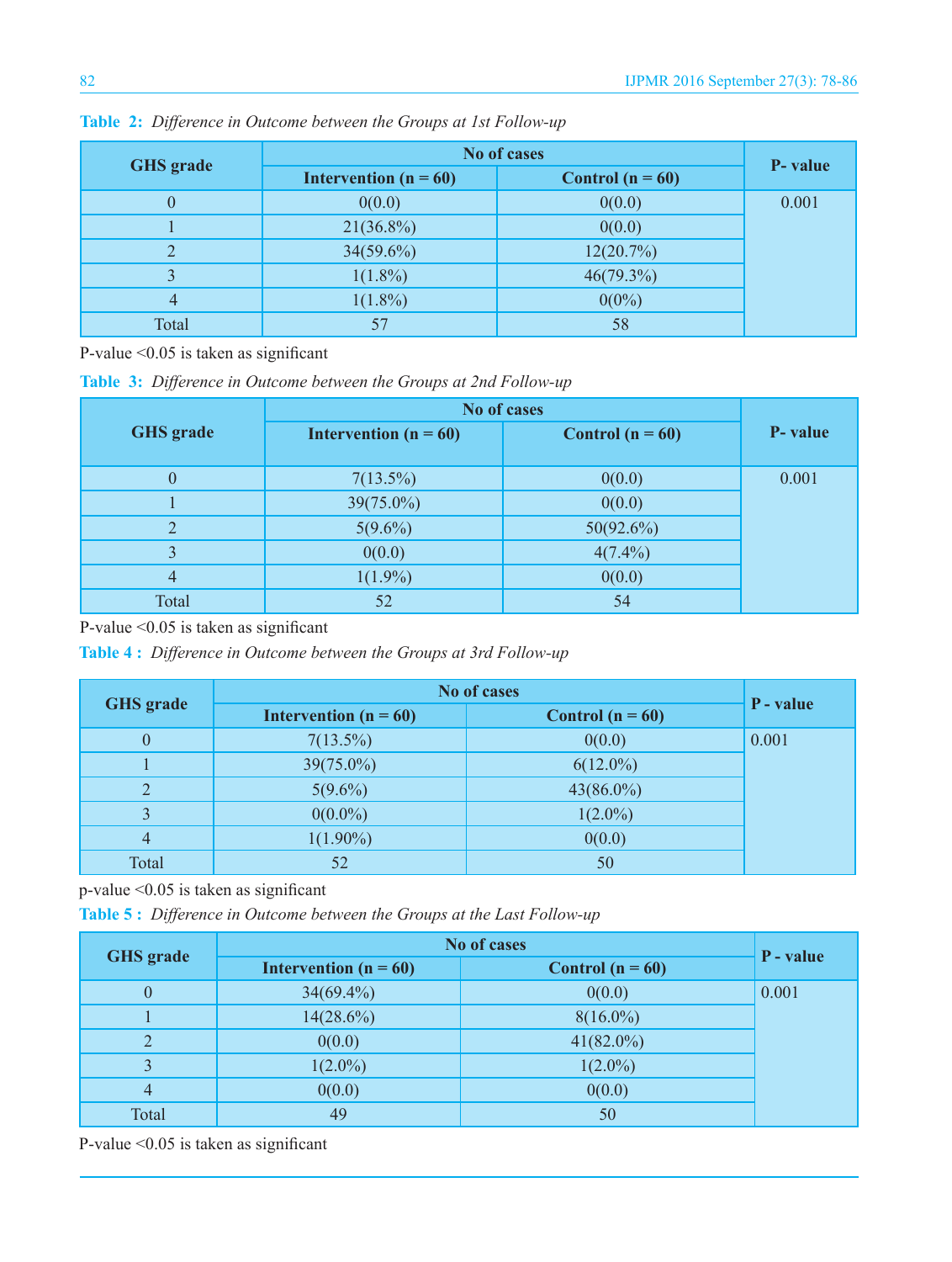| <b>GHS</b> grade | No of cases             |                    |          |
|------------------|-------------------------|--------------------|----------|
|                  | Intervention $(n = 60)$ | Control $(n = 60)$ | P- value |
| $\theta$         | 0(0.0)                  | 0(0.0)             | 0.001    |
|                  | $21(36.8\%)$            | 0(0.0)             |          |
| $\overline{2}$   | $34(59.6\%)$            | 12(20.7%)          |          |
| 3                | $1(1.8\%)$              | $46(79.3\%)$       |          |
| 4                | $1(1.8\%)$              | $0(0\%)$           |          |
| Total            | 57                      | 58                 |          |

**Table 2:** *Difference in Outcome between the Groups at 1st Follow-up*

P-value <0.05 is taken as significant

**Table 3:** *Difference in Outcome between the Groups at 2nd Follow-up*

|                  | No of cases             |                    |          |
|------------------|-------------------------|--------------------|----------|
| <b>GHS</b> grade | Intervention $(n = 60)$ | Control $(n = 60)$ | P- value |
| $\theta$         | $7(13.5\%)$             | 0(0.0)             | 0.001    |
|                  | $39(75.0\%)$            | 0(0.0)             |          |
| 2                | $5(9.6\%)$              | 50(92.6%)          |          |
| $\overline{3}$   | 0(0.0)                  | $4(7.4\%)$         |          |
| $\overline{4}$   | $1(1.9\%)$              | 0(0.0)             |          |
| Total            | 52                      | 54                 |          |

P-value <0.05 is taken as significant

**Table 4 :** *Difference in Outcome between the Groups at 3rd Follow-up*

| <b>GHS</b> grade | <b>No of cases</b>      | P - value          |       |
|------------------|-------------------------|--------------------|-------|
|                  | Intervention $(n = 60)$ | Control $(n = 60)$ |       |
| $\theta$         | $7(13.5\%)$             | 0(0.0)             | 0.001 |
|                  | $39(75.0\%)$            | $6(12.0\%)$        |       |
| $\overline{2}$   | $5(9.6\%)$              | $43(86.0\%)$       |       |
| 3                | $0(0.0\%)$              | $1(2.0\%)$         |       |
| $\overline{4}$   | $1(1.90\%)$             | 0(0.0)             |       |
| Total            | 52                      | 50                 |       |

p-value <0.05 is taken as significant

**Table 5 :** *Difference in Outcome between the Groups at the Last Follow-up*

| <b>GHS</b> grade | No of cases             |                    |           |
|------------------|-------------------------|--------------------|-----------|
|                  | Intervention $(n = 60)$ | Control $(n = 60)$ | P - value |
| $\boldsymbol{0}$ | $34(69.4\%)$            | 0(0.0)             | 0.001     |
|                  | $14(28.6\%)$            | $8(16.0\%)$        |           |
| $\overline{2}$   | 0(0.0)                  | $41(82.0\%)$       |           |
| 3                | $1(2.0\%)$              | $1(2.0\%)$         |           |
| $\overline{4}$   | 0(0.0)                  | 0(0.0)             |           |
| Total            | 49                      | 50                 |           |

P-value <0.05 is taken as significant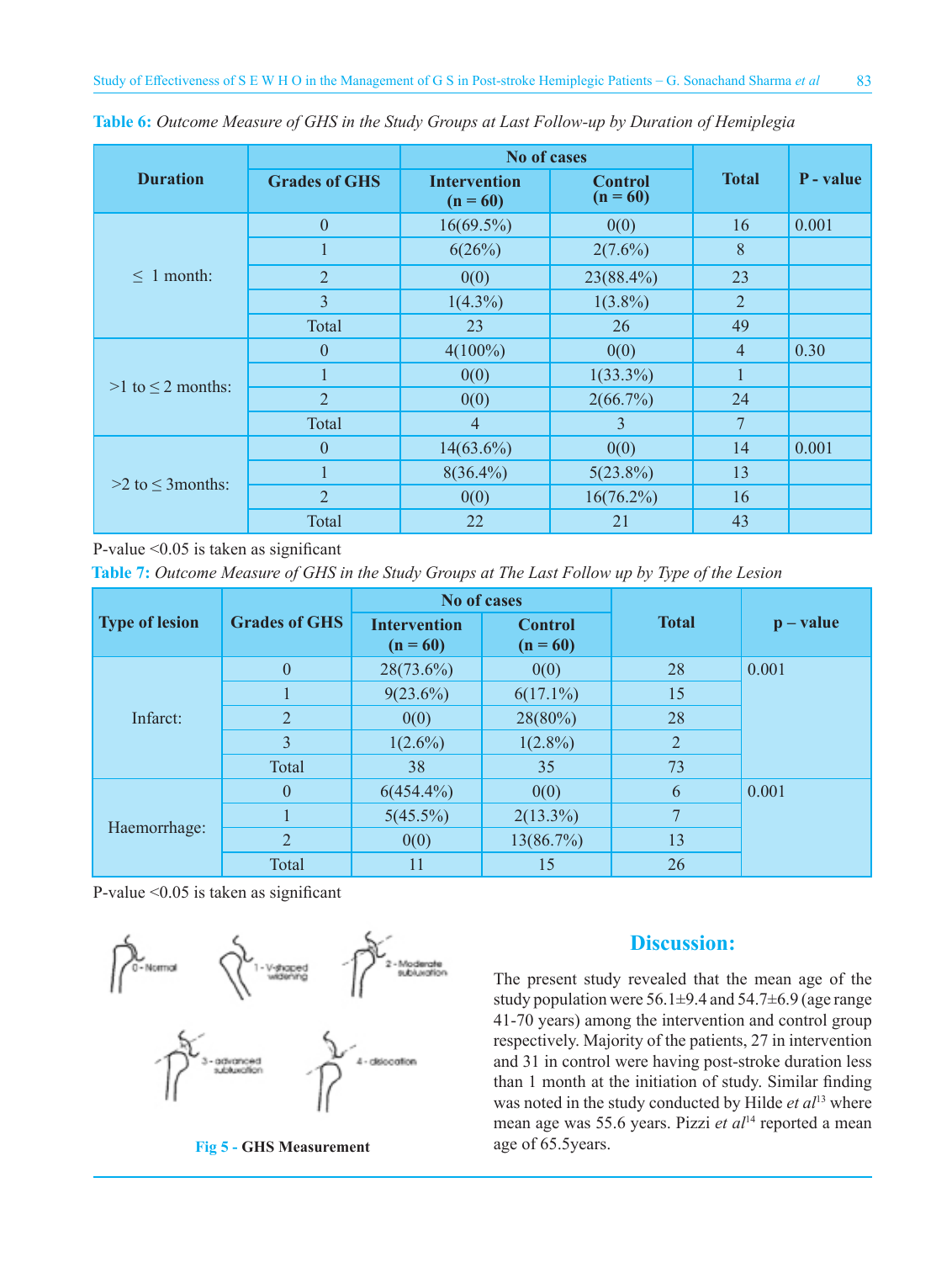|                          |                      | No of cases                       |                              |                |           |
|--------------------------|----------------------|-----------------------------------|------------------------------|----------------|-----------|
| <b>Duration</b>          | <b>Grades of GHS</b> | <b>Intervention</b><br>$(n = 60)$ | <b>Control</b><br>$(n = 60)$ | <b>Total</b>   | P - value |
|                          | $\boldsymbol{0}$     | $16(69.5\%)$                      | 0(0)                         | 16             | 0.001     |
|                          | 1                    | 6(26%)                            | $2(7.6\%)$                   | 8              |           |
| $\leq 1$ month:          | 2                    | 0(0)                              | 23(88.4%)                    | 23             |           |
|                          | 3                    | $1(4.3\%)$                        | $1(3.8\%)$                   | $\overline{2}$ |           |
|                          | Total                | 23                                | 26                           | 49             |           |
|                          | $\theta$             | $4(100\%)$                        | 0(0)                         | $\overline{4}$ | 0.30      |
| $>1$ to $\leq$ 2 months: |                      | 0(0)                              | $1(33.3\%)$                  | 1              |           |
|                          | $\overline{2}$       | 0(0)                              | 2(66.7%)                     | 24             |           |
|                          | Total                | $\overline{4}$                    | 3                            | 7              |           |
| $>2$ to $\leq$ 3 months: | $\theta$             | $14(63.6\%)$                      | 0(0)                         | 14             | 0.001     |
|                          |                      | $8(36.4\%)$                       | $5(23.8\%)$                  | 13             |           |
|                          | $\overline{2}$       | 0(0)                              | $16(76.2\%)$                 | 16             |           |
|                          | Total                | 22                                | 21                           | 43             |           |

**Table 6:** *Outcome Measure of GHS in the Study Groups at Last Follow-up by Duration of Hemiplegia*

P-value <0.05 is taken as significant

**Table 7:** *Outcome Measure of GHS in the Study Groups at The Last Follow up by Type of the Lesion*

|                       | <b>Grades of GHS</b> | <b>No of cases</b>                |                              |                |           |  |
|-----------------------|----------------------|-----------------------------------|------------------------------|----------------|-----------|--|
| <b>Type of lesion</b> |                      | <b>Intervention</b><br>$(n = 60)$ | <b>Control</b><br>$(n = 60)$ | <b>Total</b>   | $p-value$ |  |
| Infarct:              | $\mathbf{0}$         | $28(73.6\%)$                      | 0(0)                         | 28             | 0.001     |  |
|                       |                      | $9(23.6\%)$                       | $6(17.1\%)$                  | 15             |           |  |
|                       | $\overline{2}$       | 0(0)                              | 28(80%)                      | 28             |           |  |
|                       | 3                    | $1(2.6\%)$                        | $1(2.8\%)$                   | $\overline{2}$ |           |  |
|                       | Total                | 38                                | 35                           | 73             |           |  |
| Haemorrhage:          | $\mathbf{0}$         | $6(454.4\%)$                      | 0(0)                         | 6              | 0.001     |  |
|                       |                      | $5(45.5\%)$                       | $2(13.3\%)$                  | 7              |           |  |
|                       | $\overline{2}$       | 0(0)                              | 13(86.7%)                    | 13             |           |  |
|                       | Total                | 11                                | 15                           | 26             |           |  |

P-value <0.05 is taken as significant



## **Fig 5 - GHS Measurement** age of 65.5years.

## **Discussion:**

The present study revealed that the mean age of the study population were  $56.1\pm9.4$  and  $54.7\pm6.9$  (age range 41-70 years) among the intervention and control group respectively. Majority of the patients, 27 in intervention and 31 in control were having post-stroke duration less than 1 month at the initiation of study. Similar finding was noted in the study conducted by Hilde *et al*13 where mean age was 55.6 years. Pizzi *et al*14 reported a mean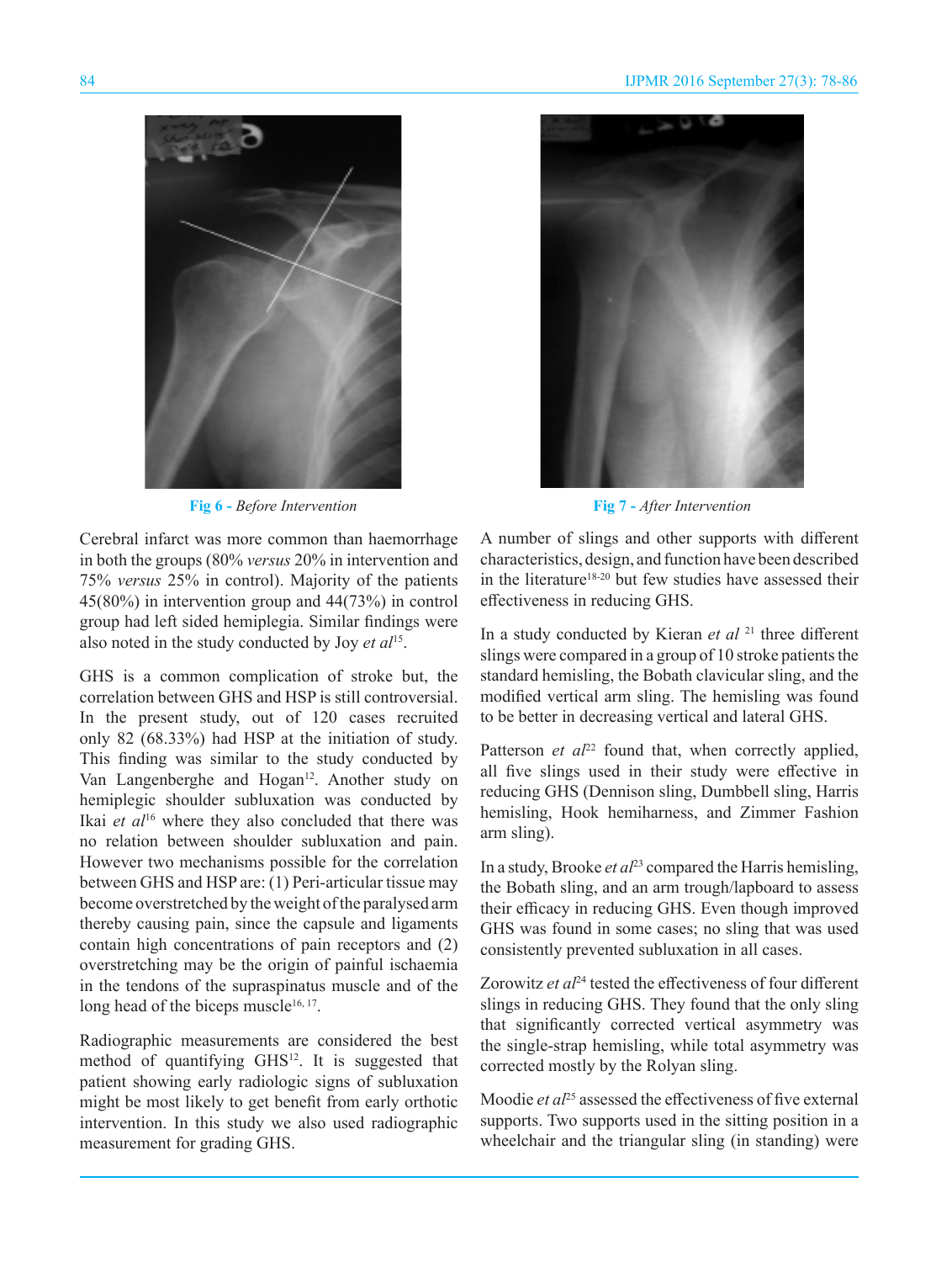

**Fig 6 -** *Before Intervention* **Fig 7 -** *After Intervention* 

Cerebral infarct was more common than haemorrhage in both the groups (80% *versus* 20% in intervention and 75% *versus* 25% in control). Majority of the patients 45(80%) in intervention group and 44(73%) in control group had left sided hemiplegia. Similar findings were also noted in the study conducted by Joy *et al*15.

GHS is a common complication of stroke but, the correlation between GHS and HSP is still controversial. In the present study, out of 120 cases recruited only 82 (68.33%) had HSP at the initiation of study. This finding was similar to the study conducted by Van Langenberghe and Hogan<sup>12</sup>. Another study on hemiplegic shoulder subluxation was conducted by Ikai *et al*16 where they also concluded that there was no relation between shoulder subluxation and pain. However two mechanisms possible for the correlation between GHS and HSP are: (1) Peri-articular tissue may become overstretched by the weight of the paralysed arm thereby causing pain, since the capsule and ligaments contain high concentrations of pain receptors and (2) overstretching may be the origin of painful ischaemia in the tendons of the supraspinatus muscle and of the long head of the biceps muscle $16, 17$ .

Radiographic measurements are considered the best method of quantifying GHS<sup>12</sup>. It is suggested that patient showing early radiologic signs of subluxation might be most likely to get benefit from early orthotic intervention. In this study we also used radiographic measurement for grading GHS.



A number of slings and other supports with different characteristics, design, and function have been described in the literature<sup>18-20</sup> but few studies have assessed their effectiveness in reducing GHS.

In a study conducted by Kieran *et al* 21 three different slings were compared in a group of 10 stroke patients the standard hemisling, the Bobath clavicular sling, and the modified vertical arm sling. The hemisling was found to be better in decreasing vertical and lateral GHS.

Patterson *et al*<sup>22</sup> found that, when correctly applied, all five slings used in their study were effective in reducing GHS (Dennison sling, Dumbbell sling, Harris hemisling, Hook hemiharness, and Zimmer Fashion arm sling).

In a study, Brooke *et al*<sup>23</sup> compared the Harris hemisling, the Bobath sling, and an arm trough/lapboard to assess their efficacy in reducing GHS. Even though improved GHS was found in some cases; no sling that was used consistently prevented subluxation in all cases.

Zorowitz *et al*<sup>24</sup> tested the effectiveness of four different slings in reducing GHS. They found that the only sling that significantly corrected vertical asymmetry was the single-strap hemisling, while total asymmetry was corrected mostly by the Rolyan sling.

Moodie *et al*<sup>25</sup> assessed the effectiveness of five external supports. Two supports used in the sitting position in a wheelchair and the triangular sling (in standing) were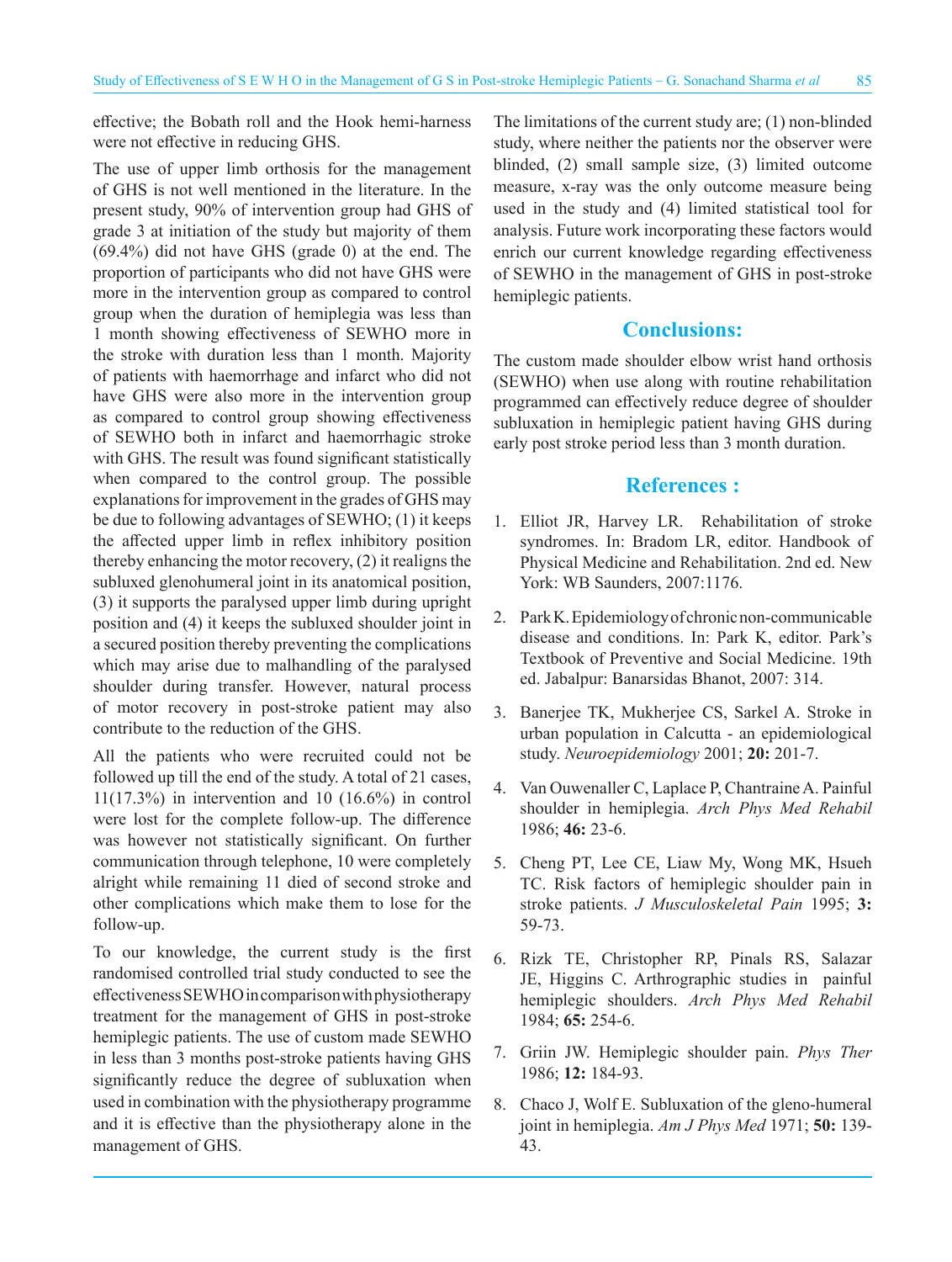effective; the Bobath roll and the Hook hemi-harness were not effective in reducing GHS.

The use of upper limb orthosis for the management of GHS is not well mentioned in the literature. In the present study, 90% of intervention group had GHS of grade 3 at initiation of the study but majority of them (69.4%) did not have GHS (grade 0) at the end. The proportion of participants who did not have GHS were more in the intervention group as compared to control group when the duration of hemiplegia was less than 1 month showing effectiveness of SEWHO more in the stroke with duration less than 1 month. Majority of patients with haemorrhage and infarct who did not have GHS were also more in the intervention group as compared to control group showing effectiveness of SEWHO both in infarct and haemorrhagic stroke with GHS. The result was found significant statistically when compared to the control group. The possible explanations for improvement in the grades of GHS may be due to following advantages of SEWHO; (1) it keeps the affected upper limb in reflex inhibitory position thereby enhancing the motor recovery, (2) it realigns the subluxed glenohumeral joint in its anatomical position, (3) it supports the paralysed upper limb during upright position and (4) it keeps the subluxed shoulder joint in a secured position thereby preventing the complications which may arise due to malhandling of the paralysed shoulder during transfer. However, natural process of motor recovery in post-stroke patient may also contribute to the reduction of the GHS.

All the patients who were recruited could not be followed up till the end of the study. A total of 21 cases, 11(17.3%) in intervention and 10 (16.6%) in control were lost for the complete follow-up. The difference was however not statistically significant. On further communication through telephone, 10 were completely alright while remaining 11 died of second stroke and other complications which make them to lose for the follow-up.

To our knowledge, the current study is the first randomised controlled trial study conducted to see the effectiveness SEWHO in comparison with physiotherapy treatment for the management of GHS in post-stroke hemiplegic patients. The use of custom made SEWHO in less than 3 months post-stroke patients having GHS significantly reduce the degree of subluxation when used in combination with the physiotherapy programme and it is effective than the physiotherapy alone in the management of GHS.

The limitations of the current study are; (1) non-blinded study, where neither the patients nor the observer were blinded, (2) small sample size, (3) limited outcome measure, x-ray was the only outcome measure being used in the study and (4) limited statistical tool for analysis. Future work incorporating these factors would enrich our current knowledge regarding effectiveness of SEWHO in the management of GHS in post-stroke hemiplegic patients.

## **Conclusions:**

The custom made shoulder elbow wrist hand orthosis (SEWHO) when use along with routine rehabilitation programmed can effectively reduce degree of shoulder subluxation in hemiplegic patient having GHS during early post stroke period less than 3 month duration.

## **References :**

- 1. Elliot JR, Harvey LR. Rehabilitation of stroke syndromes. In: Bradom LR, editor. Handbook of Physical Medicine and Rehabilitation. 2nd ed. New York: WB Saunders, 2007:1176.
- 2. Park K. Epidemiology of chronic non-communicable disease and conditions. In: Park K, editor. Park's Textbook of Preventive and Social Medicine. 19th ed. Jabalpur: Banarsidas Bhanot, 2007: 314.
- 3. Banerjee TK, Mukherjee CS, Sarkel A. Stroke in urban population in Calcutta - an epidemiological study. *Neuroepidemiology* 2001; **20:** 201-7.
- 4. Van Ouwenaller C, Laplace P, Chantraine A. Painful shoulder in hemiplegia. *Arch Phys Med Rehabil*  1986; **46:** 23-6.
- 5. Cheng PT, Lee CE, Liaw My, Wong MK, Hsueh TC. Risk factors of hemiplegic shoulder pain in stroke patients. *J Musculoskeletal Pain* 1995; **3:**  59-73.
- 6. Rizk TE, Christopher RP, Pinals RS, Salazar JE, Higgins C. Arthrographic studies in painful hemiplegic shoulders. *Arch Phys Med Rehabil* 1984; **65:** 254-6.
- 7. Griin JW. Hemiplegic shoulder pain. *Phys Ther*  1986; **12:** 184-93.
- 8. Chaco J, Wolf E. Subluxation of the gleno-humeral joint in hemiplegia. *Am J Phys Med* 1971; **50:** 139- 43.